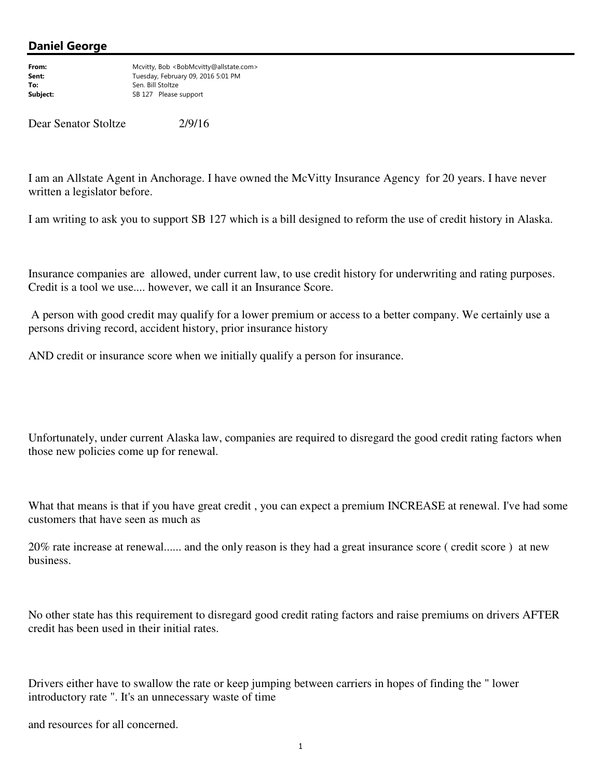## Daniel George

From: Mcvitty, Bob <BobMcvitty@allstate.com> Sent: Tuesday, February 09, 2016 5:01 PM To: Sen. Bill Stoltze Subject: Same Same Same Same Stoltze Subject: Same Stoltze Same Same Stoltze Stoltze Sto<br>Same Stoltze Stoltze Stoltze Stoltze Stoltze Stoltze Stoltze Stoltze Stoltze Stoltze Stoltze Stoltze Stoltze SB 127 Please support

Dear Senator Stoltze 2/9/16

I am an Allstate Agent in Anchorage. I have owned the McVitty Insurance Agency for 20 years. I have never written a legislator before.

I am writing to ask you to support SB 127 which is a bill designed to reform the use of credit history in Alaska.

Insurance companies are allowed, under current law, to use credit history for underwriting and rating purposes. Credit is a tool we use.... however, we call it an Insurance Score.

 A person with good credit may qualify for a lower premium or access to a better company. We certainly use a persons driving record, accident history, prior insurance history

AND credit or insurance score when we initially qualify a person for insurance.

Unfortunately, under current Alaska law, companies are required to disregard the good credit rating factors when those new policies come up for renewal.

What that means is that if you have great credit , you can expect a premium INCREASE at renewal. I've had some customers that have seen as much as

20% rate increase at renewal...... and the only reason is they had a great insurance score ( credit score ) at new business.

No other state has this requirement to disregard good credit rating factors and raise premiums on drivers AFTER credit has been used in their initial rates.

Drivers either have to swallow the rate or keep jumping between carriers in hopes of finding the " lower introductory rate ". It's an unnecessary waste of time

and resources for all concerned.